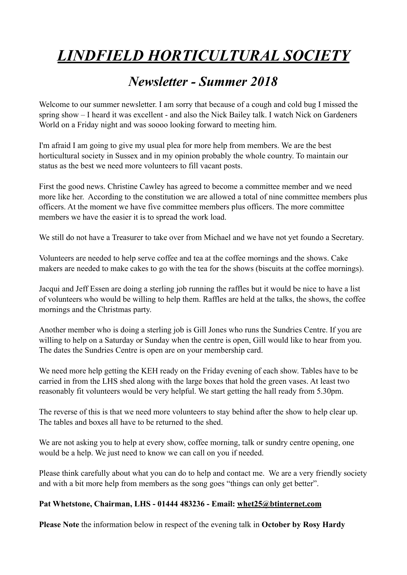# *LINDFIELD HORTICULTURAL SOCIETY*

## *Newsletter - Summer 2018*

Welcome to our summer newsletter. I am sorry that because of a cough and cold bug I missed the spring show – I heard it was excellent - and also the Nick Bailey talk. I watch Nick on Gardeners World on a Friday night and was soooo looking forward to meeting him.

I'm afraid I am going to give my usual plea for more help from members. We are the best horticultural society in Sussex and in my opinion probably the whole country. To maintain our status as the best we need more volunteers to fill vacant posts.

First the good news. Christine Cawley has agreed to become a committee member and we need more like her. According to the constitution we are allowed a total of nine committee members plus officers. At the moment we have five committee members plus officers. The more committee members we have the easier it is to spread the work load.

We still do not have a Treasurer to take over from Michael and we have not yet foundo a Secretary.

Volunteers are needed to help serve coffee and tea at the coffee mornings and the shows. Cake makers are needed to make cakes to go with the tea for the shows (biscuits at the coffee mornings).

Jacqui and Jeff Essen are doing a sterling job running the raffles but it would be nice to have a list of volunteers who would be willing to help them. Raffles are held at the talks, the shows, the coffee mornings and the Christmas party.

Another member who is doing a sterling job is Gill Jones who runs the Sundries Centre. If you are willing to help on a Saturday or Sunday when the centre is open, Gill would like to hear from you. The dates the Sundries Centre is open are on your membership card.

We need more help getting the KEH ready on the Friday evening of each show. Tables have to be carried in from the LHS shed along with the large boxes that hold the green vases. At least two reasonably fit volunteers would be very helpful. We start getting the hall ready from 5.30pm.

The reverse of this is that we need more volunteers to stay behind after the show to help clear up. The tables and boxes all have to be returned to the shed.

We are not asking you to help at every show, coffee morning, talk or sundry centre opening, one would be a help. We just need to know we can call on you if needed.

Please think carefully about what you can do to help and contact me. We are a very friendly society and with a bit more help from members as the song goes "things can only get better".

### **Pat Whetstone, Chairman, LHS - 01444 483236 - Email: [whet25@btinternet.com](mailto:whet25@btinternet.com)**

**Please Note** the information below in respect of the evening talk in **October by Rosy Hardy**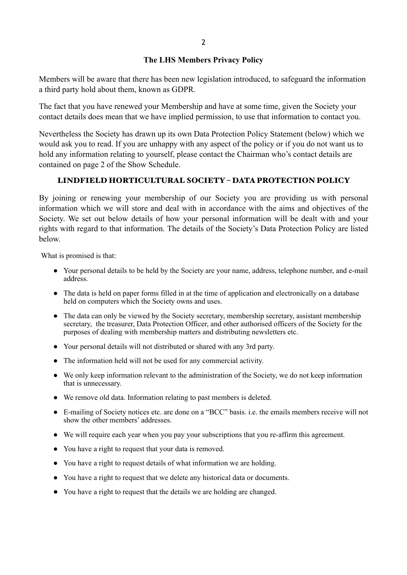#### **The LHS Members Privacy Policy**

Members will be aware that there has been new legislation introduced, to safeguard the information a third party hold about them, known as GDPR.

The fact that you have renewed your Membership and have at some time, given the Society your contact details does mean that we have implied permission, to use that information to contact you.

Nevertheless the Society has drawn up its own Data Protection Policy Statement (below) which we would ask you to read. If you are unhappy with any aspect of the policy or if you do not want us to hold any information relating to yourself, please contact the Chairman who's contact details are contained on page 2 of the Show Schedule.

#### LINDFIELD HORTICULTURAL SOCIETY – DATA PROTECTION POLICY

By joining or renewing your membership of our Society you are providing us with personal information which we will store and deal with in accordance with the aims and objectives of the Society. We set out below details of how your personal information will be dealt with and your rights with regard to that information. The details of the Society's Data Protection Policy are listed below.

What is promised is that:

- ! Your personal details to be held by the Society are your name, address, telephone number, and e-mail address.
- The data is held on paper forms filled in at the time of application and electronically on a database held on computers which the Society owns and uses.
- The data can only be viewed by the Society secretary, membership secretary, assistant membership secretary, the treasurer, Data Protection Officer, and other authorised officers of the Society for the purposes of dealing with membership matters and distributing newsletters etc.
- ! Your personal details will not distributed or shared with any 3rd party.
- The information held will not be used for any commercial activity.
- ! We only keep information relevant to the administration of the Society, we do not keep information that is unnecessary.
- ! We remove old data. Information relating to past members is deleted.
- E-mailing of Society notices etc. are done on a "BCC" basis. i.e. the emails members receive will not show the other members' addresses.
- ! We will require each year when you pay your subscriptions that you re-affirm this agreement.
- ! You have a right to request that your data is removed.
- You have a right to request details of what information we are holding.
- ! You have a right to request that we delete any historical data or documents.
- You have a right to request that the details we are holding are changed.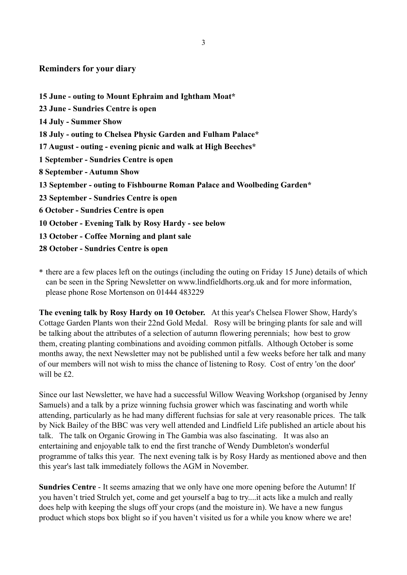#### **Reminders for your diary**

- **15 June outing to Mount Ephraim and Ightham Moat\* 23 June - Sundries Centre is open 14 July - Summer Show 18 July - outing to Chelsea Physic Garden and Fulham Palace\* 17 August - outing - evening picnic and walk at High Beeches\* 1 September - Sundries Centre is open 8 September - Autumn Show 13 September - outing to Fishbourne Roman Palace and Woolbeding Garden\* 23 September - Sundries Centre is open 6 October - Sundries Centre is open 10 October - Evening Talk by Rosy Hardy - see below 13 October - Coffee Morning and plant sale 28 October - Sundries Centre is open**
- \* there are a few places left on the outings (including the outing on Friday 15 June) details of which can be seen in the Spring Newsletter on www.lindfieldhorts.org.uk and for more information, please phone Rose Mortenson on 01444 483229

**The evening talk by Rosy Hardy on 10 October.** At this year's Chelsea Flower Show, Hardy's Cottage Garden Plants won their 22nd Gold Medal. Rosy will be bringing plants for sale and will be talking about the attributes of a selection of autumn flowering perennials; how best to grow them, creating planting combinations and avoiding common pitfalls. Although October is some months away, the next Newsletter may not be published until a few weeks before her talk and many of our members will not wish to miss the chance of listening to Rosy. Cost of entry 'on the door' will be  $f2$ .

Since our last Newsletter, we have had a successful Willow Weaving Workshop (organised by Jenny Samuels) and a talk by a prize winning fuchsia grower which was fascinating and worth while attending, particularly as he had many different fuchsias for sale at very reasonable prices. The talk by Nick Bailey of the BBC was very well attended and Lindfield Life published an article about his talk. The talk on Organic Growing in The Gambia was also fascinating. It was also an entertaining and enjoyable talk to end the first tranche of Wendy Dumbleton's wonderful programme of talks this year. The next evening talk is by Rosy Hardy as mentioned above and then this year's last talk immediately follows the AGM in November.

**Sundries Centre** - It seems amazing that we only have one more opening before the Autumn! If you haven't tried Strulch yet, come and get yourself a bag to try....it acts like a mulch and really does help with keeping the slugs off your crops (and the moisture in). We have a new fungus product which stops box blight so if you haven't visited us for a while you know where we are!